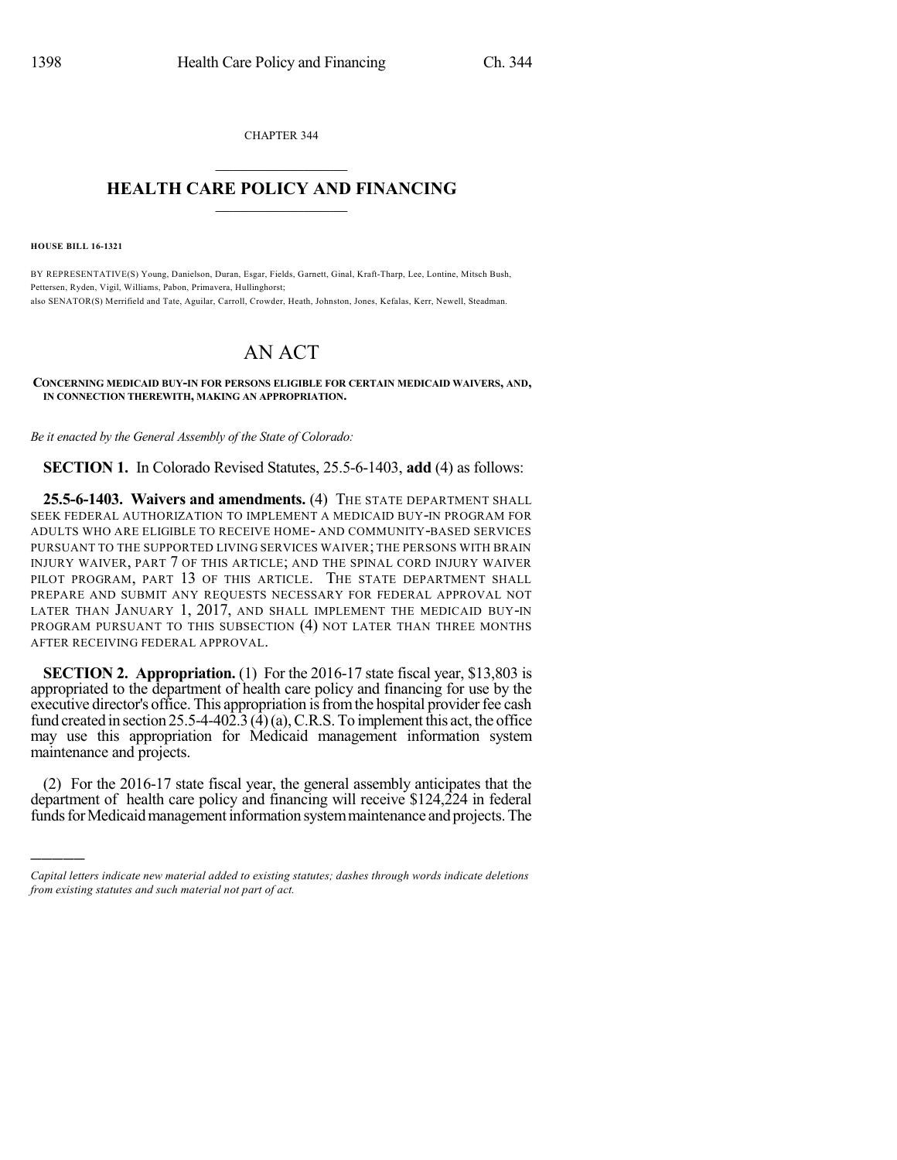CHAPTER 344  $\overline{\phantom{a}}$  . The set of the set of the set of the set of the set of the set of the set of the set of the set of the set of the set of the set of the set of the set of the set of the set of the set of the set of the set o

## **HEALTH CARE POLICY AND FINANCING**  $\_$   $\_$   $\_$   $\_$   $\_$   $\_$   $\_$   $\_$

**HOUSE BILL 16-1321**

)))))

BY REPRESENTATIVE(S) Young, Danielson, Duran, Esgar, Fields, Garnett, Ginal, Kraft-Tharp, Lee, Lontine, Mitsch Bush, Pettersen, Ryden, Vigil, Williams, Pabon, Primavera, Hullinghorst; also SENATOR(S) Merrifield and Tate, Aguilar, Carroll, Crowder, Heath, Johnston, Jones, Kefalas, Kerr, Newell, Steadman.

## AN ACT

## **CONCERNING MEDICAID BUY-IN FOR PERSONS ELIGIBLE FOR CERTAIN MEDICAID WAIVERS, AND, IN CONNECTION THEREWITH, MAKING AN APPROPRIATION.**

*Be it enacted by the General Assembly of the State of Colorado:*

**SECTION 1.** In Colorado Revised Statutes, 25.5-6-1403, **add** (4) as follows:

**25.5-6-1403. Waivers and amendments.** (4) THE STATE DEPARTMENT SHALL SEEK FEDERAL AUTHORIZATION TO IMPLEMENT A MEDICAID BUY-IN PROGRAM FOR ADULTS WHO ARE ELIGIBLE TO RECEIVE HOME- AND COMMUNITY-BASED SERVICES PURSUANT TO THE SUPPORTED LIVING SERVICES WAIVER; THE PERSONS WITH BRAIN INJURY WAIVER, PART 7 OF THIS ARTICLE; AND THE SPINAL CORD INJURY WAIVER PILOT PROGRAM, PART 13 OF THIS ARTICLE. THE STATE DEPARTMENT SHALL PREPARE AND SUBMIT ANY REQUESTS NECESSARY FOR FEDERAL APPROVAL NOT LATER THAN JANUARY 1, 2017, AND SHALL IMPLEMENT THE MEDICAID BUY-IN PROGRAM PURSUANT TO THIS SUBSECTION (4) NOT LATER THAN THREE MONTHS AFTER RECEIVING FEDERAL APPROVAL.

**SECTION 2. Appropriation.** (1) For the 2016-17 state fiscal year, \$13,803 is appropriated to the department of health care policy and financing for use by the executive director's office. This appropriation is from the hospital provider fee cash fund created in section 25.5-4-402.3 ( $\overline{4}$ )(a), C.R.S. To implement this act, the office may use this appropriation for Medicaid management information system maintenance and projects.

(2) For the 2016-17 state fiscal year, the general assembly anticipates that the department of health care policy and financing will receive \$124,224 in federal funds for Medicaid management information system maintenance and projects. The

*Capital letters indicate new material added to existing statutes; dashes through words indicate deletions from existing statutes and such material not part of act.*